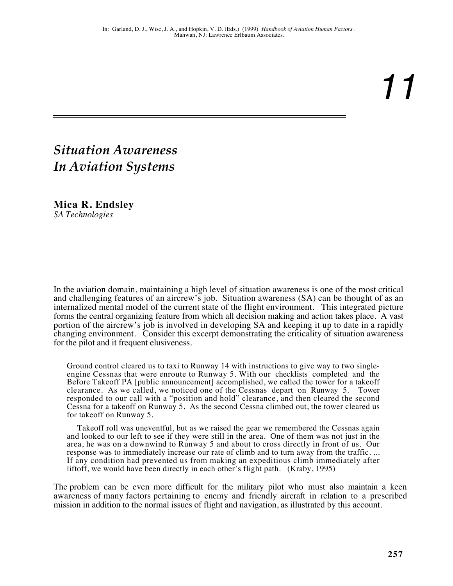# *Situation Awareness In Aviation Systems*

**Mica R. Endsley** *SA Technologies*

In the aviation domain, maintaining a high level of situation awareness is one of the most critical and challenging features of an aircrew's job. Situation awareness (SA) can be thought of as an internalized mental model of the current state of the flight environment. This integrated picture forms the central organizing feature from which all decision making and action takes place. A vast portion of the aircrew's job is involved in developing SA and keeping it up to date in a rapidly changing environment. Consider this excerpt demonstrating the criticality of situation awareness for the pilot and it frequent elusiveness.

Ground control cleared us to taxi to Runway 14 with instructions to give way to two singleengine Cessnas that were enroute to Runway 5. With our checklists completed and the Before Takeoff PA [public announcement] accomplished, we called the tower for a takeoff clearance. As we called, we noticed one of the Cessnas depart on Runway 5. Tower responded to our call with a "position and hold" clearance, and then cleared the second Cessna for a takeoff on Runway 5. As the second Cessna climbed out, the tower cleared us for takeoff on Runway 5.

Takeoff roll was uneventful, but as we raised the gear we remembered the Cessnas again and looked to our left to see if they were still in the area. One of them was not just in the area, he was on a downwind to Runway 5 and about to cross directly in front of us. Our response was to immediately increase our rate of climb and to turn away from the traffic. ... If any condition had prevented us from making an expeditious climb immediately after liftoff, we would have been directly in each other's flight path. (Kraby, 1995)

The problem can be even more difficult for the military pilot who must also maintain a keen awareness of many factors pertaining to enemy and friendly aircraft in relation to a prescribed mission in addition to the normal issues of flight and navigation, as illustrated by this account.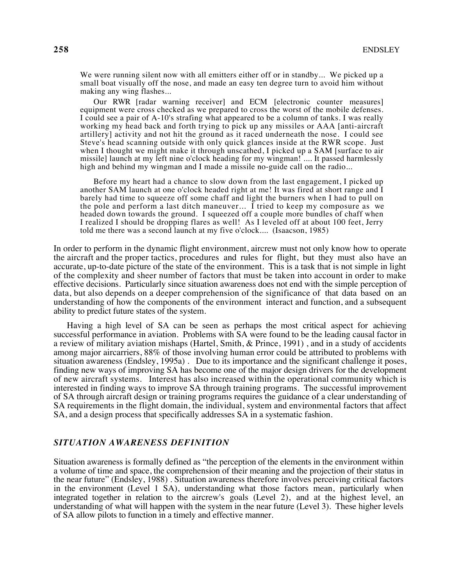We were running silent now with all emitters either off or in standby... We picked up a small boat visually off the nose, and made an easy ten degree turn to avoid him without making any wing flashes...

Our RWR [radar warning receiver] and ECM [electronic counter measures] equipment were cross checked as we prepared to cross the worst of the mobile defenses. I could see a pair of A-10's strafing what appeared to be a column of tanks. I was really working my head back and forth trying to pick up any missiles or AAA [anti-aircraft artillery] activity and not hit the ground as it raced underneath the nose. I could see Steve's head scanning outside with only quick glances inside at the RWR scope. Just when I thought we might make it through unscathed, I picked up a SAM [surface to air missile] launch at my left nine o'clock heading for my wingman! .... It passed harmlessly high and behind my wingman and I made a missile no-guide call on the radio...

Before my heart had a chance to slow down from the last engagement, I picked up another SAM launch at one o'clock headed right at me! It was fired at short range and I barely had time to squeeze off some chaff and light the burners when I had to pull on the pole and perform a last ditch maneuver... I tried to keep my composure as we headed down towards the ground. I squeezed off a couple more bundles of chaff when I realized I should be dropping flares as well! As I leveled off at about 100 feet, Jerry told me there was a second launch at my five o'clock.... (Isaacson, 1985)

In order to perform in the dynamic flight environment, aircrew must not only know how to operate the aircraft and the proper tactics, procedures and rules for flight, but they must also have an accurate, up-to-date picture of the state of the environment. This is a task that is not simple in light of the complexity and sheer number of factors that must be taken into account in order to make effective decisions. Particularly since situation awareness does not end with the simple perception of data, but also depends on a deeper comprehension of the significance of that data based on an understanding of how the components of the environment interact and function, and a subsequent ability to predict future states of the system.

Having a high level of SA can be seen as perhaps the most critical aspect for achieving successful performance in aviation. Problems with SA were found to be the leading causal factor in a review of military aviation mishaps (Hartel, Smith, & Prince, 1991) , and in a study of accidents among major aircarriers, 88% of those involving human error could be attributed to problems with situation awareness (Endsley, 1995a) . Due to its importance and the significant challenge it poses, finding new ways of improving SA has become one of the major design drivers for the development of new aircraft systems. Interest has also increased within the operational community which is interested in finding ways to improve SA through training programs. The successful improvement of SA through aircraft design or training programs requires the guidance of a clear understanding of SA requirements in the flight domain, the individual, system and environmental factors that affect SA, and a design process that specifically addresses SA in a systematic fashion.

#### *SITUATION AWARENESS DEFINITION*

Situation awareness is formally defined as "the perception of the elements in the environment within a volume of time and space, the comprehension of their meaning and the projection of their status in the near future" (Endsley, 1988) . Situation awareness therefore involves perceiving critical factors in the environment (Level 1 SA), understanding what those factors mean, particularly when integrated together in relation to the aircrew's goals (Level 2), and at the highest level, an understanding of what will happen with the system in the near future (Level 3). These higher levels of SA allow pilots to function in a timely and effective manner.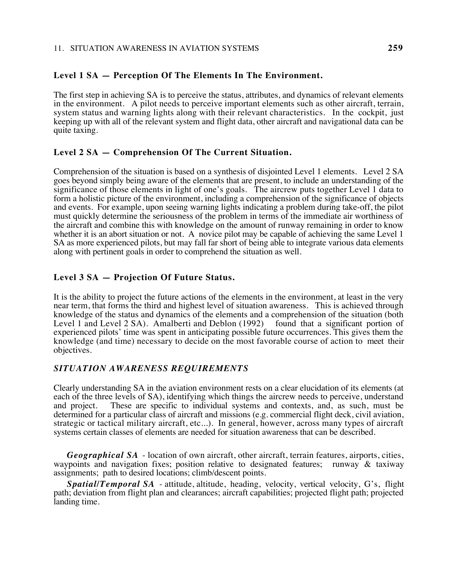# **Level 1 SA — Perception Of The Elements In The Environment.**

The first step in achieving SA is to perceive the status, attributes, and dynamics of relevant elements in the environment. A pilot needs to perceive important elements such as other aircraft, terrain, system status and warning lights along with their relevant characteristics. In the cockpit, just keeping up with all of the relevant system and flight data, other aircraft and navigational data can be quite taxing.

# **Level 2 SA — Comprehension Of The Current Situation.**

Comprehension of the situation is based on a synthesis of disjointed Level 1 elements. Level 2 SA goes beyond simply being aware of the elements that are present, to include an understanding of the significance of those elements in light of one's goals. The aircrew puts together Level 1 data to form a holistic picture of the environment, including a comprehension of the significance of objects and events. For example, upon seeing warning lights indicating a problem during take-off, the pilot must quickly determine the seriousness of the problem in terms of the immediate air worthiness of the aircraft and combine this with knowledge on the amount of runway remaining in order to know whether it is an abort situation or not. A novice pilot may be capable of achieving the same Level 1 SA as more experienced pilots, but may fall far short of being able to integrate various data elements along with pertinent goals in order to comprehend the situation as well.

# **Level 3 SA — Projection Of Future Status.**

It is the ability to project the future actions of the elements in the environment, at least in the very near term, that forms the third and highest level of situation awareness. This is achieved through knowledge of the status and dynamics of the elements and a comprehension of the situation (both Level 1 and Level 2 SA). Amalberti and Deblon (1992) found that a significant portion of experienced pilots' time was spent in anticipating possible future occurrences. This gives them the knowledge (and time) necessary to decide on the most favorable course of action to meet their objectives.

# *SITUATION AWARENESS REQUIREMENTS*

Clearly understanding SA in the aviation environment rests on a clear elucidation of its elements (at each of the three levels of SA), identifying which things the aircrew needs to perceive, understand and project. These are specific to individual systems and contexts, and, as such, must be determined for a particular class of aircraft and missions (e.g. commercial flight deck, civil aviation, strategic or tactical military aircraft, etc...). In general, however, across many types of aircraft systems certain classes of elements are needed for situation awareness that can be described.

*Geographical SA* - location of own aircraft, other aircraft, terrain features, airports, cities, waypoints and navigation fixes; position relative to designated features; runway & taxiway assignments; path to desired locations; climb/descent points.

*Spatial/Temporal SA* - attitude, altitude, heading, velocity, vertical velocity, G's, flight path; deviation from flight plan and clearances; aircraft capabilities; projected flight path; projected landing time.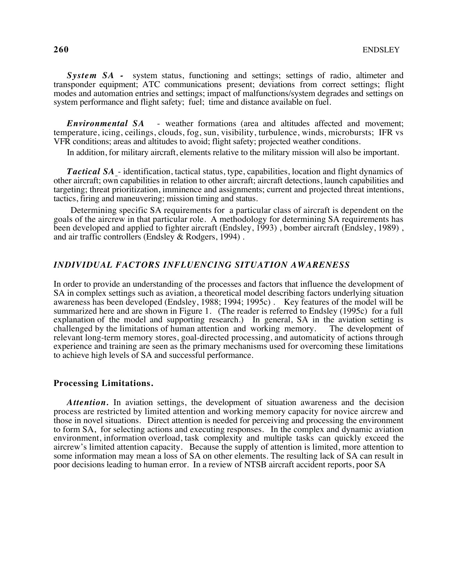**System SA** - system status, functioning and settings; settings of radio, altimeter and transponder equipment; ATC communications present; deviations from correct settings; flight modes and automation entries and settings; impact of malfunctions/system degrades and settings on system performance and flight safety; fuel; time and distance available on fuel.

*Environmental SA* - weather formations (area and altitudes affected and movement; temperature, icing, ceilings, clouds, fog, sun, visibility, turbulence, winds, microbursts; IFR vs VFR conditions; areas and altitudes to avoid; flight safety; projected weather conditions.

In addition, for military aircraft, elements relative to the military mission will also be important.

*Tactical SA* - identification, tactical status, type, capabilities, location and flight dynamics of other aircraft; own capabilities in relation to other aircraft; aircraft detections, launch capabilities and targeting; threat prioritization, imminence and assignments; current and projected threat intentions, tactics, firing and maneuvering; mission timing and status.

Determining specific SA requirements for a particular class of aircraft is dependent on the goals of the aircrew in that particular role. A methodology for determining SA requirements has been developed and applied to fighter aircraft (Endsley, 1993) , bomber aircraft (Endsley, 1989) , and air traffic controllers (Endsley & Rodgers, 1994) .

## *INDIVIDUAL FACTORS INFLUENCING SITUATION AWARENESS*

In order to provide an understanding of the processes and factors that influence the development of SA in complex settings such as aviation, a theoretical model describing factors underlying situation awareness has been developed (Endsley, 1988; 1994; 1995c) . Key features of the model will be summarized here and are shown in Figure 1. (The reader is referred to Endsley (1995c) for a full explanation of the model and supporting research.) In general, SA in the aviation setting is challenged by the limitations of human attention and working memory. The development of challenged by the limitations of human attention and working memory. relevant long-term memory stores, goal-directed processing, and automaticity of actions through experience and training are seen as the primary mechanisms used for overcoming these limitations to achieve high levels of SA and successful performance.

#### **Processing Limitations.**

Attention. In aviation settings, the development of situation awareness and the decision process are restricted by limited attention and working memory capacity for novice aircrew and those in novel situations. Direct attention is needed for perceiving and processing the environment to form SA, for selecting actions and executing responses. In the complex and dynamic aviation environment, information overload, task complexity and multiple tasks can quickly exceed the aircrew's limited attention capacity. Because the supply of attention is limited, more attention to some information may mean a loss of SA on other elements. The resulting lack of SA can result in poor decisions leading to human error. In a review of NTSB aircraft accident reports, poor SA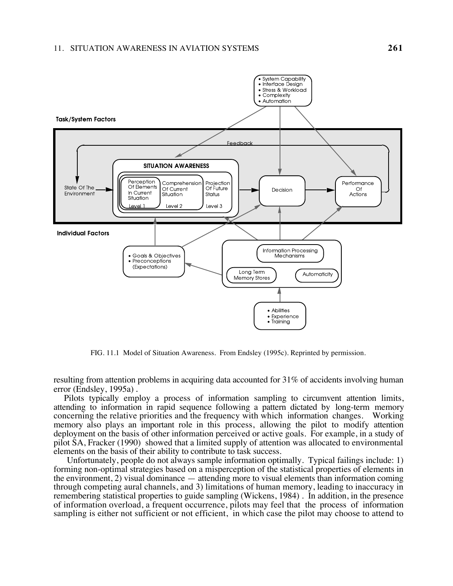

FIG. 11.1 Model of Situation Awareness. From Endsley (1995c). Reprinted by permission.

resulting from attention problems in acquiring data accounted for 31% of accidents involving human error (Endsley, 1995a) .

Pilots typically employ a process of information sampling to circumvent attention limits, attending to information in rapid sequence following a pattern dictated by long-term memory concerning the relative priorities and the frequency with which information changes. Working memory also plays an important role in this process, allowing the pilot to modify attention deployment on the basis of other information perceived or active goals. For example, in a study of pilot SA, Fracker (1990) showed that a limited supply of attention was allocated to environmental elements on the basis of their ability to contribute to task success.

Unfortunately, people do not always sample information optimally. Typical failings include: 1) forming non-optimal strategies based on a misperception of the statistical properties of elements in the environment, 2) visual dominance — attending more to visual elements than information coming through competing aural channels, and 3) limitations of human memory, leading to inaccuracy in remembering statistical properties to guide sampling (Wickens, 1984) . In addition, in the presence of information overload, a frequent occurrence, pilots may feel that the process of information sampling is either not sufficient or not efficient, in which case the pilot may choose to attend to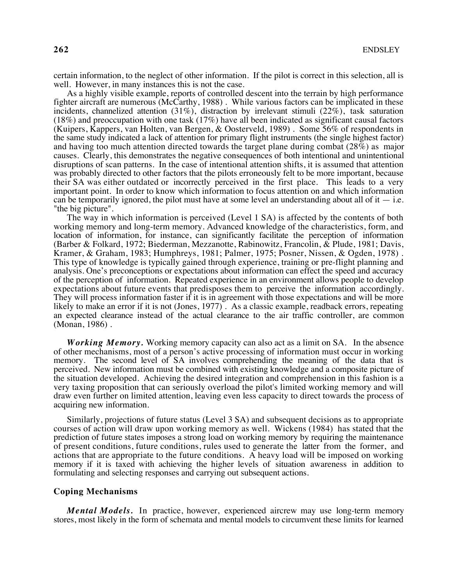certain information, to the neglect of other information. If the pilot is correct in this selection, all is well. However, in many instances this is not the case.

As a highly visible example, reports of controlled descent into the terrain by high performance fighter aircraft are numerous (McCarthy, 1988) . While various factors can be implicated in these incidents, channelized attention  $(31\%)$ , distraction by irrelevant stimuli  $(22\%)$ , task saturation  $(18\%)$  and preoccupation with one task  $(17\%)$  have all been indicated as significant causal factors (Kuipers, Kappers, van Holten, van Bergen, & Oosterveld, 1989) . Some 56% of respondents in the same study indicated a lack of attention for primary flight instruments (the single highest factor) and having too much attention directed towards the target plane during combat (28%) as major causes. Clearly, this demonstrates the negative consequences of both intentional and unintentional disruptions of scan patterns. In the case of intentional attention shifts, it is assumed that attention was probably directed to other factors that the pilots erroneously felt to be more important, because their SA was either outdated or incorrectly perceived in the first place. This leads to a very important point. In order to know which information to focus attention on and which information can be temporarily ignored, the pilot must have at some level an understanding about all of it  $-$  i.e. "the big picture".

The way in which information is perceived (Level 1 SA) is affected by the contents of both working memory and long-term memory. Advanced knowledge of the characteristics, form, and location of information, for instance, can significantly facilitate the perception of information (Barber & Folkard, 1972; Biederman, Mezzanotte, Rabinowitz, Francolin, & Plude, 1981; Davis, Kramer, & Graham, 1983; Humphreys, 1981; Palmer, 1975; Posner, Nissen, & Ogden, 1978) . This type of knowledge is typically gained through experience, training or pre-flight planning and analysis. One's preconceptions or expectations about information can effect the speed and accuracy of the perception of information. Repeated experience in an environment allows people to develop expectations about future events that predisposes them to perceive the information accordingly. They will process information faster if it is in agreement with those expectations and will be more likely to make an error if it is not (Jones, 1977) . As a classic example, readback errors, repeating an expected clearance instead of the actual clearance to the air traffic controller, are common (Monan, 1986) .

*Working Memory.* Working memory capacity can also act as a limit on SA. In the absence of other mechanisms, most of a person's active processing of information must occur in working memory. The second level of SA involves comprehending the meaning of the data that is perceived. New information must be combined with existing knowledge and a composite picture of the situation developed. Achieving the desired integration and comprehension in this fashion is a very taxing proposition that can seriously overload the pilot's limited working memory and will draw even further on limited attention, leaving even less capacity to direct towards the process of acquiring new information.

Similarly, projections of future status (Level 3 SA) and subsequent decisions as to appropriate courses of action will draw upon working memory as well. Wickens (1984) has stated that the prediction of future states imposes a strong load on working memory by requiring the maintenance of present conditions, future conditions, rules used to generate the latter from the former, and actions that are appropriate to the future conditions. A heavy load will be imposed on working memory if it is taxed with achieving the higher levels of situation awareness in addition to formulating and selecting responses and carrying out subsequent actions.

#### **Coping Mechanisms**

*Mental Models.* In practice, however, experienced aircrew may use long-term memory stores, most likely in the form of schemata and mental models to circumvent these limits for learned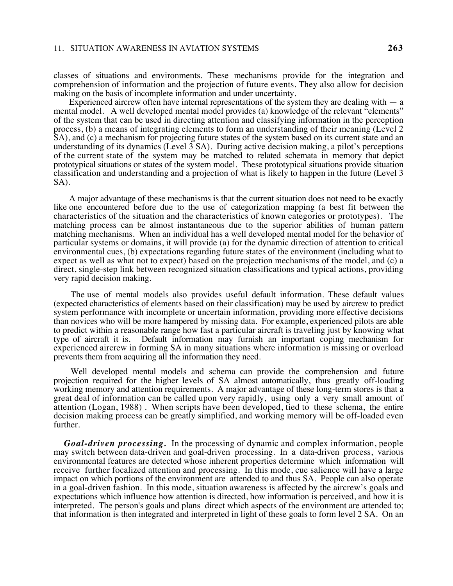classes of situations and environments. These mechanisms provide for the integration and comprehension of information and the projection of future events. They also allow for decision making on the basis of incomplete information and under uncertainty.

Experienced aircrew often have internal representations of the system they are dealing with  $-$  a mental model. A well developed mental model provides (a) knowledge of the relevant "elements" of the system that can be used in directing attention and classifying information in the perception process, (b) a means of integrating elements to form an understanding of their meaning (Level 2 SA), and (c) a mechanism for projecting future states of the system based on its current state and an understanding of its dynamics (Level 3 SA). During active decision making, a pilot's perceptions of the current state of the system may be matched to related schemata in memory that depict prototypical situations or states of the system model. These prototypical situations provide situation classification and understanding and a projection of what is likely to happen in the future (Level 3 SA).

 A major advantage of these mechanisms is that the current situation does not need to be exactly like one encountered before due to the use of categorization mapping (a best fit between the characteristics of the situation and the characteristics of known categories or prototypes). The matching process can be almost instantaneous due to the superior abilities of human pattern matching mechanisms. When an individual has a well developed mental model for the behavior of particular systems or domains, it will provide (a) for the dynamic direction of attention to critical environmental cues, (b) expectations regarding future states of the environment (including what to expect as well as what not to expect) based on the projection mechanisms of the model, and (c) a direct, single-step link between recognized situation classifications and typical actions, providing very rapid decision making.

The use of mental models also provides useful default information. These default values (expected characteristics of elements based on their classification) may be used by aircrew to predict system performance with incomplete or uncertain information, providing more effective decisions than novices who will be more hampered by missing data. For example, experienced pilots are able to predict within a reasonable range how fast a particular aircraft is traveling just by knowing what type of aircraft it is. Default information may furnish an important coping mechanism for experienced aircrew in forming SA in many situations where information is missing or overload prevents them from acquiring all the information they need.

Well developed mental models and schema can provide the comprehension and future projection required for the higher levels of SA almost automatically, thus greatly off-loading working memory and attention requirements. A major advantage of these long-term stores is that a great deal of information can be called upon very rapidly, using only a very small amount of attention (Logan, 1988) . When scripts have been developed, tied to these schema, the entire decision making process can be greatly simplified, and working memory will be off-loaded even further.

*Goal-driven processing.* In the processing of dynamic and complex information, people may switch between data-driven and goal-driven processing. In a data-driven process, various environmental features are detected whose inherent properties determine which information will receive further focalized attention and processing. In this mode, cue salience will have a large impact on which portions of the environment are attended to and thus SA. People can also operate in a goal-driven fashion. In this mode, situation awareness is affected by the aircrew's goals and expectations which influence how attention is directed, how information is perceived, and how it is interpreted. The person's goals and plans direct which aspects of the environment are attended to; that information is then integrated and interpreted in light of these goals to form level 2 SA. On an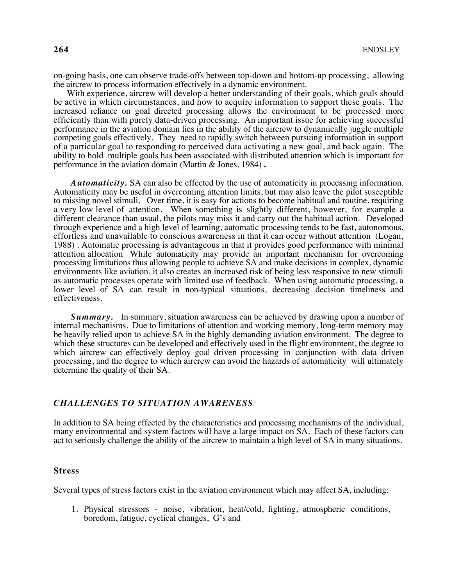on-going basis, one can observe trade-offs between top-down and bottom-up processing, allowing the aircrew to process information effectively in a dynamic environment.

With experience, aircrew will develop a better understanding of their goals, which goals should be active in which circumstances, and how to acquire information to support these goals. The increased reliance on goal directed processing allows the environment to be processed more efficiently than with purely data-driven processing. An important issue for achieving successful performance in the aviation domain lies in the ability of the aircrew to dynamically juggle multiple competing goals effectively. They need to rapidly switch between pursuing information in support of a particular goal to responding to perceived data activating a new goal, and back again. The ability to hold multiple goals has been associated with distributed attention which is important for performance in the aviation domain (Martin & Jones, 1984) **.**

*Automaticity.* SA can also be effected by the use of automaticity in processing information. Automaticity may be useful in overcoming attention limits, but may also leave the pilot susceptible to missing novel stimuli. Over time, it is easy for actions to become habitual and routine, requiring a very low level of attention. When something is slightly different, however, for example a different clearance than usual, the pilots may miss it and carry out the habitual action. Developed through experience and a high level of learning, automatic processing tends to be fast, autonomous, effortless and unavailable to conscious awareness in that it can occur without attention (Logan, 1988) . Automatic processing is advantageous in that it provides good performance with minimal attention allocation While automaticity may provide an important mechanism for overcoming processing limitations thus allowing people to achieve SA and make decisions in complex, dynamic environments like aviation, it also creates an increased risk of being less responsive to new stimuli as automatic processes operate with limited use of feedback. When using automatic processing, a lower level of SA can result in non-typical situations, decreasing decision timeliness and effectiveness.

**Summary.** In summary, situation awareness can be achieved by drawing upon a number of internal mechanisms. Due to limitations of attention and working memory, long-term memory may be heavily relied upon to achieve SA in the highly demanding aviation environment. The degree to which these structures can be developed and effectively used in the flight environment, the degree to which aircrew can effectively deploy goal driven processing in conjunction with data driven processing, and the degree to which aircrew can avoid the hazards of automaticity will ultimately determine the quality of their SA.

## *CHALLENGES TO SITUATION AWARENESS*

In addition to SA being effected by the characteristics and processing mechanisms of the individual, many environmental and system factors will have a large impact on SA. Each of these factors can act to seriously challenge the ability of the aircrew to maintain a high level of SA in many situations.

#### **Stress**

Several types of stress factors exist in the aviation environment which may affect SA, including:

1. Physical stressors - noise, vibration, heat/cold, lighting, atmospheric conditions, boredom, fatigue, cyclical changes, G's and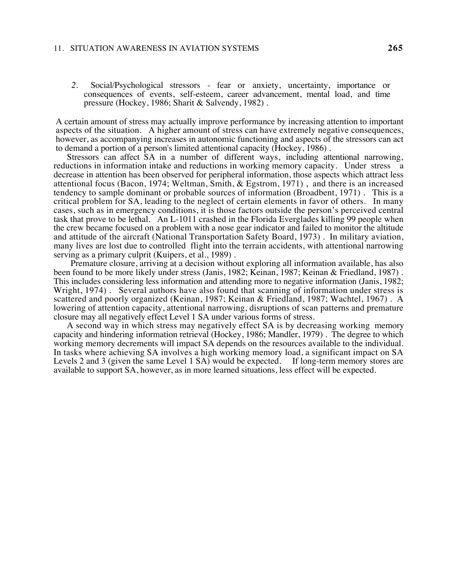*2.* Social/Psychological stressors - fear or anxiety, uncertainty, importance or consequences of events, self-esteem, career advancement, mental load, and time pressure (Hockey, 1986; Sharit & Salvendy, 1982) .

A certain amount of stress may actually improve performance by increasing attention to important aspects of the situation. A higher amount of stress can have extremely negative consequences, however, as accompanying increases in autonomic functioning and aspects of the stressors can act to demand a portion of a person's limited attentional capacity (Hockey, 1986) .

Stressors can affect SA in a number of different ways, including attentional narrowing, reductions in information intake and reductions in working memory capacity. Under stress a decrease in attention has been observed for peripheral information, those aspects which attract less attentional focus (Bacon, 1974; Weltman, Smith, & Egstrom, 1971) , and there is an increased tendency to sample dominant or probable sources of information (Broadbent, 1971) . This is a critical problem for SA, leading to the neglect of certain elements in favor of others. In many cases, such as in emergency conditions, it is those factors outside the person's perceived central task that prove to be lethal. An L-1011 crashed in the Florida Everglades killing 99 people when the crew became focused on a problem with a nose gear indicator and failed to monitor the altitude and attitude of the aircraft (National Transportation Safety Board, 1973) . In military aviation, many lives are lost due to controlled flight into the terrain accidents, with attentional narrowing serving as a primary culprit (Kuipers, et al., 1989) .

Premature closure, arriving at a decision without exploring all information available, has also been found to be more likely under stress (Janis, 1982; Keinan, 1987; Keinan & Friedland, 1987) . This includes considering less information and attending more to negative information (Janis, 1982; Wright, 1974) . Several authors have also found that scanning of information under stress is scattered and poorly organized (Keinan, 1987; Keinan & Friedland, 1987; Wachtel, 1967) . A lowering of attention capacity, attentional narrowing, disruptions of scan patterns and premature closure may all negatively effect Level 1 SA under various forms of stress.

A second way in which stress may negatively effect SA is by decreasing working memory capacity and hindering information retrieval (Hockey, 1986; Mandler, 1979) . The degree to which working memory decrements will impact SA depends on the resources available to the individual. In tasks where achieving SA involves a high working memory load, a significant impact on SA Levels 2 and 3 (given the same Level 1 SA) would be expected. If long-term memory stores are available to support SA, however, as in more learned situations, less effect will be expected.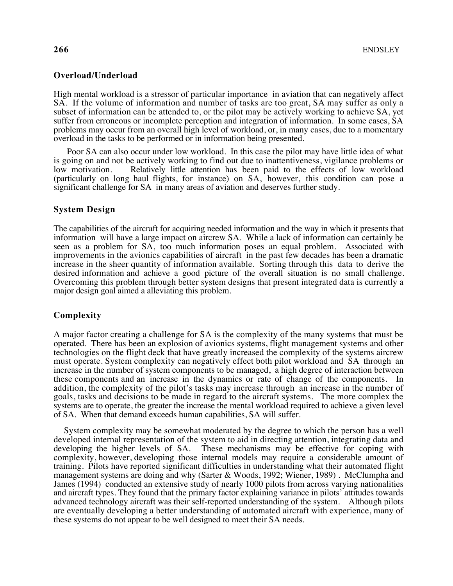#### **Overload/Underload**

High mental workload is a stressor of particular importance in aviation that can negatively affect SA. If the volume of information and number of tasks are too great, SA may suffer as only a subset of information can be attended to, or the pilot may be actively working to achieve SA, yet suffer from erroneous or incomplete perception and integration of information. In some cases, SA problems may occur from an overall high level of workload, or, in many cases, due to a momentary overload in the tasks to be performed or in information being presented.

Poor SA can also occur under low workload. In this case the pilot may have little idea of what is going on and not be actively working to find out due to inattentiveness, vigilance problems or low motivation. Relatively little attention has been paid to the effects of low workload (particularly on long haul flights, for instance) on SA, however, this condition can pose a significant challenge for SA in many areas of aviation and deserves further study.

## **System Design**

The capabilities of the aircraft for acquiring needed information and the way in which it presents that information will have a large impact on aircrew SA. While a lack of information can certainly be seen as a problem for SA, too much information poses an equal problem. Associated with improvements in the avionics capabilities of aircraft in the past few decades has been a dramatic increase in the sheer quantity of information available. Sorting through this data to derive the desired information and achieve a good picture of the overall situation is no small challenge. Overcoming this problem through better system designs that present integrated data is currently a major design goal aimed a alleviating this problem.

## **Complexity**

A major factor creating a challenge for SA is the complexity of the many systems that must be operated. There has been an explosion of avionics systems, flight management systems and other technologies on the flight deck that have greatly increased the complexity of the systems aircrew must operate. System complexity can negatively effect both pilot workload and SA through an increase in the number of system components to be managed, a high degree of interaction between these components and an increase in the dynamics or rate of change of the components. In addition, the complexity of the pilot's tasks may increase through an increase in the number of goals, tasks and decisions to be made in regard to the aircraft systems. The more complex the systems are to operate, the greater the increase the mental workload required to achieve a given level of SA. When that demand exceeds human capabilities, SA will suffer.

System complexity may be somewhat moderated by the degree to which the person has a well developed internal representation of the system to aid in directing attention, integrating data and developing the higher levels of SA. These mechanisms may be effective for coping with complexity, however, developing those internal models may require a considerable amount of training. Pilots have reported significant difficulties in understanding what their automated flight management systems are doing and why (Sarter & Woods, 1992; Wiener, 1989) . McClumpha and James (1994) conducted an extensive study of nearly 1000 pilots from across varying nationalities and aircraft types. They found that the primary factor explaining variance in pilots' attitudes towards advanced technology aircraft was their self-reported understanding of the system. Although pilots are eventually developing a better understanding of automated aircraft with experience, many of these systems do not appear to be well designed to meet their SA needs.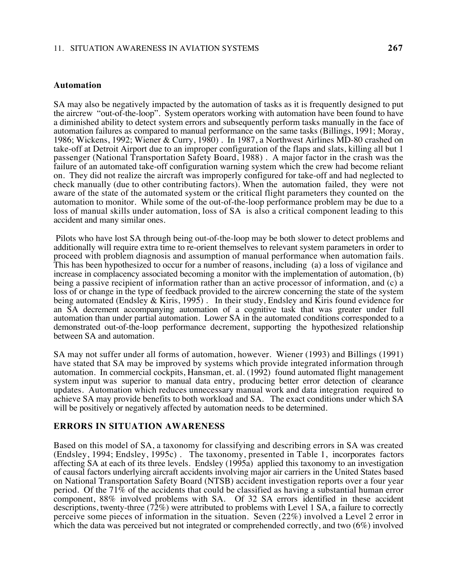#### **Automation**

SA may also be negatively impacted by the automation of tasks as it is frequently designed to put the aircrew "out-of-the-loop". System operators working with automation have been found to have a diminished ability to detect system errors and subsequently perform tasks manually in the face of automation failures as compared to manual performance on the same tasks (Billings, 1991; Moray, 1986; Wickens, 1992; Wiener & Curry, 1980) . In 1987, a Northwest Airlines MD-80 crashed on take-off at Detroit Airport due to an improper configuration of the flaps and slats, killing all but 1 passenger (National Transportation Safety Board, 1988) . A major factor in the crash was the failure of an automated take-off configuration warning system which the crew had become reliant on. They did not realize the aircraft was improperly configured for take-off and had neglected to check manually (due to other contributing factors). When the automation failed, they were not aware of the state of the automated system or the critical flight parameters they counted on the automation to monitor. While some of the out-of-the-loop performance problem may be due to a loss of manual skills under automation, loss of SA is also a critical component leading to this accident and many similar ones.

 Pilots who have lost SA through being out-of-the-loop may be both slower to detect problems and additionally will require extra time to re-orient themselves to relevant system parameters in order to proceed with problem diagnosis and assumption of manual performance when automation fails. This has been hypothesized to occur for a number of reasons, including (a) a loss of vigilance and increase in complacency associated becoming a monitor with the implementation of automation, (b) being a passive recipient of information rather than an active processor of information, and (c) a loss of or change in the type of feedback provided to the aircrew concerning the state of the system being automated (Endsley & Kiris, 1995). In their study, Endsley and Kiris found evidence for an SA decrement accompanying automation of a cognitive task that was greater under full automation than under partial automation. Lower SA in the automated conditions corresponded to a demonstrated out-of-the-loop performance decrement, supporting the hypothesized relationship between SA and automation.

SA may not suffer under all forms of automation, however. Wiener (1993) and Billings (1991) have stated that SA may be improved by systems which provide integrated information through automation. In commercial cockpits, Hansman, et. al. (1992) found automated flight management system input was superior to manual data entry, producing better error detection of clearance updates. Automation which reduces unnecessary manual work and data integration required to achieve SA may provide benefits to both workload and SA. The exact conditions under which SA will be positively or negatively affected by automation needs to be determined.

## **ERRORS IN SITUATION AWARENESS**

Based on this model of SA, a taxonomy for classifying and describing errors in SA was created (Endsley, 1994; Endsley, 1995c) . The taxonomy, presented in Table 1, incorporates factors affecting SA at each of its three levels. Endsley (1995a) applied this taxonomy to an investigation of causal factors underlying aircraft accidents involving major air carriers in the United States based on National Transportation Safety Board (NTSB) accident investigation reports over a four year period. Of the 71% of the accidents that could be classified as having a substantial human error component, 88% involved problems with SA. Of 32 SA errors identified in these accident descriptions, twenty-three (72%) were attributed to problems with Level 1 SA, a failure to correctly perceive some pieces of information in the situation. Seven (22%) involved a Level 2 error in which the data was perceived but not integrated or comprehended correctly, and two (6%) involved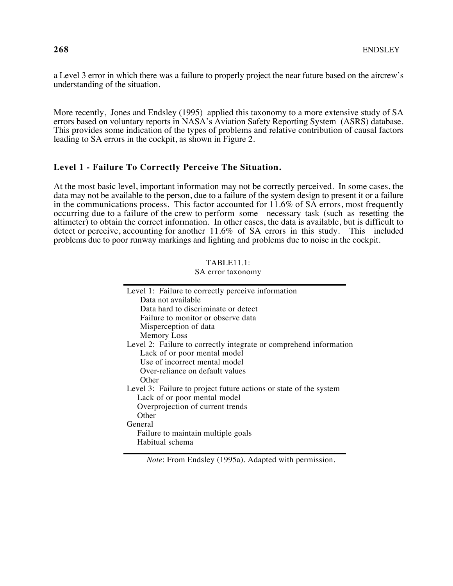a Level 3 error in which there was a failure to properly project the near future based on the aircrew's understanding of the situation.

More recently, Jones and Endsley (1995) applied this taxonomy to a more extensive study of SA errors based on voluntary reports in NASA's Aviation Safety Reporting System (ASRS) database. This provides some indication of the types of problems and relative contribution of causal factors leading to SA errors in the cockpit, as shown in Figure 2.

## **Level 1 - Failure To Correctly Perceive The Situation.**

l

At the most basic level, important information may not be correctly perceived. In some cases, the data may not be available to the person, due to a failure of the system design to present it or a failure in the communications process. This factor accounted for  $11.6\%$  of SA errors, most frequently occurring due to a failure of the crew to perform some necessary task (such as resetting the altimeter) to obtain the correct information. In other cases, the data is available, but is difficult to detect or perceive, accounting for another 11.6% of SA errors in this study. This included problems due to poor runway markings and lighting and problems due to noise in the cockpit*.*

#### TABLE11.1:

## SA error taxonomy

| Level 1: Failure to correctly perceive information                |
|-------------------------------------------------------------------|
| Data not available                                                |
| Data hard to discriminate or detect                               |
| Failure to monitor or observe data                                |
| Misperception of data                                             |
| <b>Memory Loss</b>                                                |
| Level 2: Failure to correctly integrate or comprehend information |
| Lack of or poor mental model                                      |
| Use of incorrect mental model                                     |
| Over-reliance on default values                                   |
| Other                                                             |
| Level 3: Failure to project future actions or state of the system |
| Lack of or poor mental model                                      |
| Overprojection of current trends                                  |
| Other                                                             |
| General                                                           |
| Failure to maintain multiple goals                                |
| Habitual schema                                                   |
|                                                                   |

*Note*: From Endsley (1995a). Adapted with permission.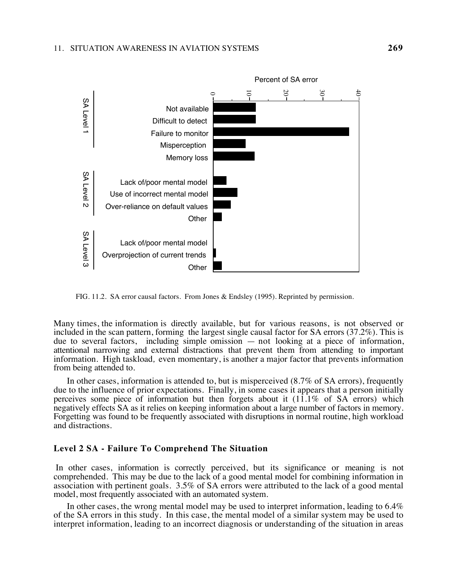

FIG. 11.2. SA error causal factors. From Jones & Endsley (1995). Reprinted by permission.

Many times, the information is directly available, but for various reasons, is not observed or included in the scan pattern, forming the largest single causal factor for SA errors (37.2%). This is due to several factors, including simple omission — not looking at a piece of information, attentional narrowing and external distractions that prevent them from attending to important information. High taskload*,* even momentary, is another a major factor that prevents information from being attended to.

In other cases, information is attended to, but is misperceived (8.7% of SA errors), frequently due to the influence of prior expectations. Finally, in some cases it appears that a person initially perceives some piece of information but then forgets about it (11.1% of SA errors) which negatively effects SA as it relies on keeping information about a large number of factors in memory. Forgetting was found to be frequently associated with disruptions in normal routine, high workload and distractions.

## **Level 2 SA - Failure To Comprehend The Situation**

 In other cases, information is correctly perceived, but its significance or meaning is not comprehended. This may be due to the lack of a good mental model for combining information in association with pertinent goals. 3.5% of SA errors were attributed to the lack of a good mental model, most frequently associated with an automated system.

In other cases, the wrong mental model may be used to interpret information, leading to 6.4% of the SA errors in this study. In this case, the mental model of a similar system may be used to interpret information, leading to an incorrect diagnosis or understanding of the situation in areas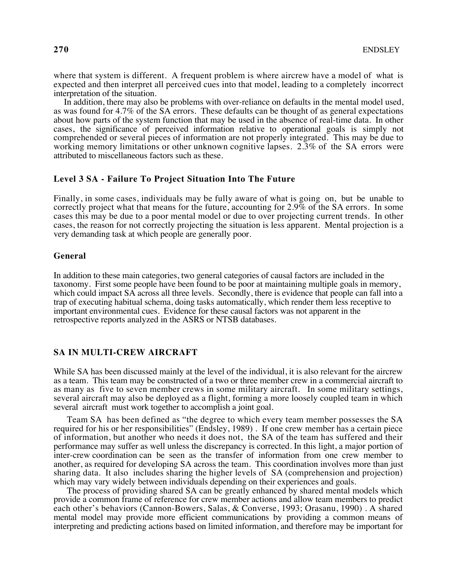where that system is different. A frequent problem is where aircrew have a model of what is expected and then interpret all perceived cues into that model, leading to a completely incorrect interpretation of the situation.

In addition, there may also be problems with over-reliance on defaults in the mental model used, as was found for 4.7% of the SA errors. These defaults can be thought of as general expectations about how parts of the system function that may be used in the absence of real-time data. In other cases, the significance of perceived information relative to operational goals is simply not comprehended or several pieces of information are not properly integrated. This may be due to working memory limitations or other unknown cognitive lapses. 2.3% of the SA errors were attributed to miscellaneous factors such as these.

## **Level 3 SA - Failure To Project Situation Into The Future**

Finally, in some cases, individuals may be fully aware of what is going on, but be unable to correctly project what that means for the future, accounting for 2.9% of the SA errors. In some cases this may be due to a poor mental model or due to over projecting current trends. In other cases, the reason for not correctly projecting the situation is less apparent. Mental projection is a very demanding task at which people are generally poor.

#### **General**

In addition to these main categories, two general categories of causal factors are included in the taxonomy. First some people have been found to be poor at maintaining multiple goals in memory, which could impact SA across all three levels. Secondly, there is evidence that people can fall into a trap of executing habitual schema, doing tasks automatically, which render them less receptive to important environmental cues. Evidence for these causal factors was not apparent in the retrospective reports analyzed in the ASRS or NTSB databases.

#### **SA IN MULTI-CREW AIRCRAFT**

While SA has been discussed mainly at the level of the individual, it is also relevant for the aircrew as a team. This team may be constructed of a two or three member crew in a commercial aircraft to as many as five to seven member crews in some military aircraft. In some military settings, several aircraft may also be deployed as a flight, forming a more loosely coupled team in which several aircraft must work together to accomplish a joint goal.

Team SA has been defined as "the degree to which every team member possesses the SA required for his or her responsibilities" (Endsley, 1989) . If one crew member has a certain piece of information, but another who needs it does not, the SA of the team has suffered and their performance may suffer as well unless the discrepancy is corrected. In this light, a major portion of inter-crew coordination can be seen as the transfer of information from one crew member to another, as required for developing SA across the team. This coordination involves more than just sharing data. It also includes sharing the higher levels of SA (comprehension and projection) which may vary widely between individuals depending on their experiences and goals.

The process of providing shared SA can be greatly enhanced by shared mental models which provide a common frame of reference for crew member actions and allow team members to predict each other's behaviors (Cannon-Bowers, Salas, & Converse, 1993; Orasanu, 1990) . A shared mental model may provide more efficient communications by providing a common means of interpreting and predicting actions based on limited information, and therefore may be important for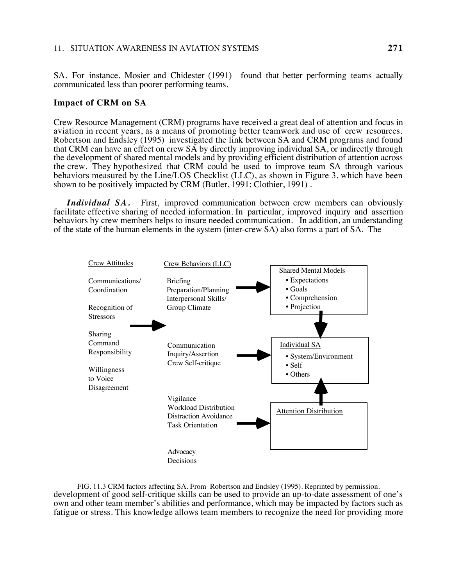SA. For instance, Mosier and Chidester (1991) found that better performing teams actually communicated less than poorer performing teams.

#### **Impact of CRM on SA**

Crew Resource Management (CRM) programs have received a great deal of attention and focus in aviation in recent years, as a means of promoting better teamwork and use of crew resources. Robertson and Endsley (1995) investigated the link between SA and CRM programs and found that CRM can have an effect on crew SA by directly improving individual SA, or indirectly through the development of shared mental models and by providing efficient distribution of attention across the crew. They hypothesized that CRM could be used to improve team SA through various behaviors measured by the Line/LOS Checklist (LLC), as shown in Figure 3, which have been shown to be positively impacted by CRM (Butler, 1991; Clothier, 1991) .

*Individual SA.* First, improved communication between crew members can obviously facilitate effective sharing of needed information. In particular, improved inquiry and assertion behaviors by crew members helps to insure needed communication. In addition, an understanding of the state of the human elements in the system (inter-crew SA) also forms a part of SA. The



FIG. 11.3 CRM factors affecting SA. From Robertson and Endsley (1995). Reprinted by permission. development of good self-critique skills can be used to provide an up-to-date assessment of one's own and other team member's abilities and performance, which may be impacted by factors such as fatigue or stress. This knowledge allows team members to recognize the need for providing more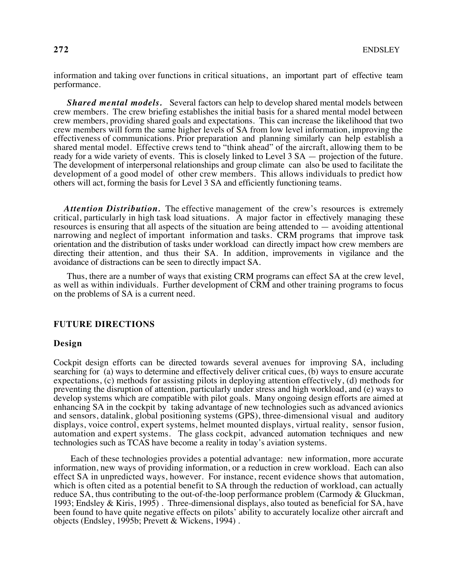information and taking over functions in critical situations, an important part of effective team performance.

*Shared mental models.* Several factors can help to develop shared mental models between crew members. The crew briefing establishes the initial basis for a shared mental model between crew members, providing shared goals and expectations. This can increase the likelihood that two crew members will form the same higher levels of SA from low level information, improving the effectiveness of communications. Prior preparation and planning similarly can help establish a shared mental model. Effective crews tend to "think ahead" of the aircraft, allowing them to be ready for a wide variety of events. This is closely linked to Level 3 SA — projection of the future. The development of interpersonal relationships and group climate can also be used to facilitate the development of a good model of other crew members. This allows individuals to predict how others will act, forming the basis for Level 3 SA and efficiently functioning teams.

*Attention Distribution.* The effective management of the crew's resources is extremely critical, particularly in high task load situations. A major factor in effectively managing these resources is ensuring that all aspects of the situation are being attended to — avoiding attentional narrowing and neglect of important information and tasks. CRM programs that improve task orientation and the distribution of tasks under workload can directly impact how crew members are directing their attention, and thus their SA. In addition, improvements in vigilance and the avoidance of distractions can be seen to directly impact SA.

Thus, there are a number of ways that existing CRM programs can effect SA at the crew level, as well as within individuals. Further development of CRM and other training programs to focus on the problems of SA is a current need.

#### **FUTURE DIRECTIONS**

#### **Design**

Cockpit design efforts can be directed towards several avenues for improving SA, including searching for (a) ways to determine and effectively deliver critical cues, (b) ways to ensure accurate expectations, (c) methods for assisting pilots in deploying attention effectively, (d) methods for preventing the disruption of attention, particularly under stress and high workload, and (e) ways to develop systems which are compatible with pilot goals. Many ongoing design efforts are aimed at enhancing SA in the cockpit by taking advantage of new technologies such as advanced avionics and sensors, datalink, global positioning systems (GPS), three-dimensional visual and auditory displays, voice control, expert systems, helmet mounted displays, virtual reality, sensor fusion, automation and expert systems. The glass cockpit, advanced automation techniques and new technologies such as TCAS have become a reality in today's aviation systems.

Each of these technologies provides a potential advantage: new information, more accurate information, new ways of providing information, or a reduction in crew workload. Each can also effect SA in unpredicted ways, however. For instance, recent evidence shows that automation, which is often cited as a potential benefit to SA through the reduction of workload, can actually reduce SA, thus contributing to the out-of-the-loop performance problem (Carmody & Gluckman, 1993; Endsley & Kiris, 1995) . Three-dimensional displays, also touted as beneficial for SA, have been found to have quite negative effects on pilots' ability to accurately localize other aircraft and objects (Endsley, 1995b; Prevett & Wickens, 1994) .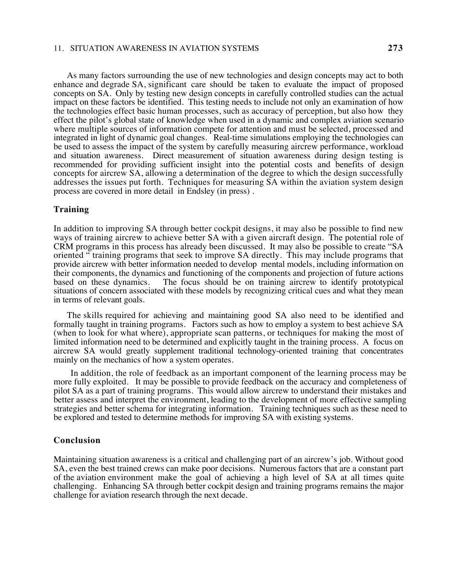As many factors surrounding the use of new technologies and design concepts may act to both enhance and degrade SA, significant care should be taken to evaluate the impact of proposed concepts on SA. Only by testing new design concepts in carefully controlled studies can the actual impact on these factors be identified. This testing needs to include not only an examination of how the technologies effect basic human processes, such as accuracy of perception, but also how they effect the pilot's global state of knowledge when used in a dynamic and complex aviation scenario where multiple sources of information compete for attention and must be selected, processed and integrated in light of dynamic goal changes. Real-time simulations employing the technologies can be used to assess the impact of the system by carefully measuring aircrew performance, workload and situation awareness. Direct measurement of situation awareness during design testing is recommended for providing sufficient insight into the potential costs and benefits of design concepts for aircrew SA, allowing a determination of the degree to which the design successfully addresses the issues put forth. Techniques for measuring SA within the aviation system design process are covered in more detail in Endsley (in press) .

#### **Training**

In addition to improving SA through better cockpit designs, it may also be possible to find new ways of training aircrew to achieve better SA with a given aircraft design. The potential role of CRM programs in this process has already been discussed. It may also be possible to create "SA oriented " training programs that seek to improve SA directly. This may include programs that provide aircrew with better information needed to develop mental models, including information on their components, the dynamics and functioning of the components and projection of future actions based on these dynamics. The focus should be on training aircrew to identify prototypical The focus should be on training aircrew to identify prototypical situations of concern associated with these models by recognizing critical cues and what they mean in terms of relevant goals.

The skills required for achieving and maintaining good SA also need to be identified and formally taught in training programs. Factors such as how to employ a system to best achieve SA (when to look for what where), appropriate scan patterns, or techniques for making the most of limited information need to be determined and explicitly taught in the training process. A focus on aircrew SA would greatly supplement traditional technology-oriented training that concentrates mainly on the mechanics of how a system operates.

In addition, the role of feedback as an important component of the learning process may be more fully exploited. It may be possible to provide feedback on the accuracy and completeness of pilot SA as a part of training programs. This would allow aircrew to understand their mistakes and better assess and interpret the environment, leading to the development of more effective sampling strategies and better schema for integrating information. Training techniques such as these need to be explored and tested to determine methods for improving SA with existing systems.

#### **Conclusion**

Maintaining situation awareness is a critical and challenging part of an aircrew's job. Without good SA, even the best trained crews can make poor decisions. Numerous factors that are a constant part of the aviation environment make the goal of achieving a high level of SA at all times quite challenging. Enhancing SA through better cockpit design and training programs remains the major challenge for aviation research through the next decade.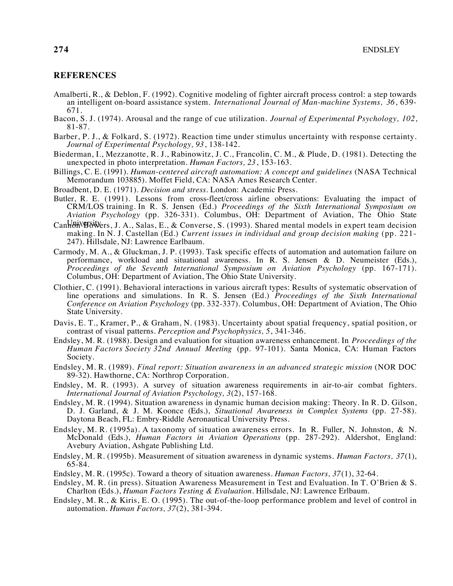#### **REFERENCES**

- Amalberti, R., & Deblon, F. (1992). Cognitive modeling of fighter aircraft process control: a step towards an intelligent on-board assistance system. *International Journal of Man-machine Systems, 36*, 639- 671.
- Bacon, S. J. (1974). Arousal and the range of cue utilization. *Journal of Experimental Psychology, <sup>102</sup>*, 81-87.
- Barber, P. J., & Folkard, S. (1972). Reaction time under stimulus uncertainty with response certainty. *Journal of Experimental Psychology, 93*, 138-142.
- Biederman, I., Mezzanotte, R. J., Rabinowitz, J. C., Francolin, C. M., & Plude, D. (1981). Detecting the unexpected in photo interpretation. *Human Factors, 23*, 153-163.
- Billings, C. E. (1991). *Human-centered aircraft automation: A concept and guidelines* (NASA Technical Memorandum 103885). Moffet Field, CA: NASA Ames Research Center.
- Broadbent, D. E. (1971). *Decision and stress*. London: Academic Press.
- Butler, R. E. (1991). Lessons from cross-fleet/cross airline observations: Evaluating the impact of CRM/LOS training. In R. S. Jensen (Ed.) *Proceedings of the Sixth International Symposium on Aviation Psychology* (pp. 326-331). Columbus, OH: Department of Aviation, The Ohio State
- Cannon-Bowers, J. A., Salas, E., & Converse, S. (1993). Shared mental models in expert team decision making. In N. J. Castellan (Ed.) *Current issues in individual and group decision making* (pp. 221- 247). Hillsdale, NJ: Lawrence Earlbaum.
- Carmody, M. A., & Gluckman, J. P. (1993). Task specific effects of automation and automation failure on performance, workload and situational awareness. In R. S. Jensen & D. Neumeister (Eds.), *Proceedings of the Seventh International Symposium on Aviation Psychology* (pp. 167-171). Columbus, OH: Department of Aviation, The Ohio State University.
- Clothier, C. (1991). Behavioral interactions in various aircraft types: Results of systematic observation of line operations and simulations. In R. S. Jensen (Ed.) *Proceedings of the Sixth International Conference on Aviation Psychology* (pp. 332-337). Columbus, OH: Department of Aviation, The Ohio State University.
- Davis, E. T., Kramer, P., & Graham, N. (1983). Uncertainty about spatial frequency, spatial position, or contrast of visual patterns. *Perception and Psychophysics, 5*, 341-346.
- Endsley, M. R. (1988). Design and evaluation for situation awareness enhancement. In *Proceedings of the Human Factors Society 32nd Annual Meeting* (pp. 97-101). Santa Monica, CA: Human Factors Society.
- Endsley, M. R. (1989). *Final report: Situation awareness in an advanced strategic mission* (NOR DOC 89-32). Hawthorne, CA: Northrop Corporation.
- Endsley, M. R. (1993). A survey of situation awareness requirements in air-to-air combat fighters. *International Journal of Aviation Psychology, 3*(2), 157-168.
- Endsley, M. R. (1994). Situation awareness in dynamic human decision making: Theory. In R. D. Gilson, D. J. Garland, & J. M. Koonce (Eds.), *Situational Awareness in Complex Systems* (pp. 27-58). Daytona Beach, FL: Embry-Riddle Aeronautical University Press.
- Endsley, M. R. (1995a). A taxonomy of situation awareness errors. In R. Fuller, N. Johnston, & N. McDonald (Eds.), *Human Factors in Aviation Operations* (pp. 287-292). Aldershot, England: Avebury Aviation, Ashgate Publishing Ltd.
- Endsley, M. R. (1995b). Measurement of situation awareness in dynamic systems. *Human Factors, 37*(1), 65-84.
- Endsley, M. R. (1995c). Toward a theory of situation awareness. *Human Factors, 37*(1), 32-64.
- Endsley, M. R. (in press). Situation Awareness Measurement in Test and Evaluation. In T. O'Brien & S. Charlton (Eds.), *Human Factors Testing & Evaluation*. Hillsdale, NJ: Lawrence Erlbaum.
- Endsley, M. R., & Kiris, E. O. (1995). The out-of-the-loop performance problem and level of control in automation. *Human Factors, 37*(2), 381-394.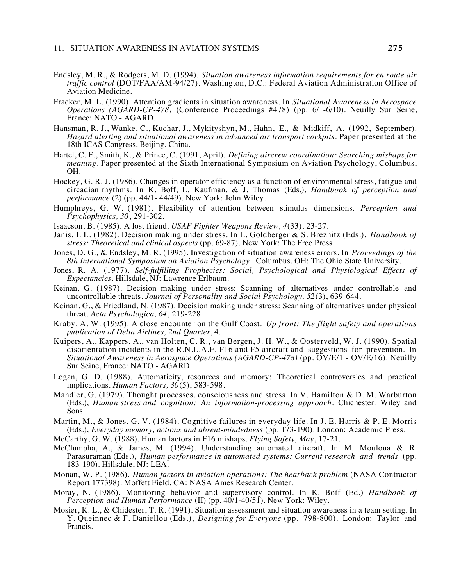- Endsley, M. R., & Rodgers, M. D. (1994). *Situation awareness information requirements for en route air traffic control* (DOT/FAA/AM-94/27). Washington, D.C.: Federal Aviation Administration Office of Aviation Medicine.
- Fracker, M. L. (1990). Attention gradients in situation awareness. In *Situational Awareness in Aerospace Operations (AGARD-CP-478)* (Conference Proceedings #478) (pp. 6/1-6/10). Neuilly Sur Seine, France: NATO - AGARD.
- Hansman, R. J., Wanke, C., Kuchar, J., Mykityshyn, M., Hahn, E., & Midkiff, A. (1992, September). *Hazard alerting and situational awareness in advanced air transport cockpits*. Paper presented at the 18th ICAS Congress, Beijing, China.
- Hartel, C. E., Smith, K., & Prince, C. (1991, April). *Defining aircrew coordination: Searching mishaps for meaning*. Paper presented at the Sixth International Symposium on Aviation Psychology, Columbus, OH.
- Hockey, G. R. J. (1986). Changes in operator efficiency as a function of environmental stress, fatigue and circadian rhythms. In K. Boff, L. Kaufman, & J. Thomas (Eds.), *Handbook of perception and performance* (2) (pp. 44/1- 44/49). New York: John Wiley.
- Humphreys, G. W. (1981). Flexibility of attention between stimulus dimensions. *Perception and Psychophysics, 30*, 291-302.
- Isaacson, B. (1985). A lost friend. *USAF Fighter Weapons Review, 4*(33), 23-27.
- Janis, I. L. (1982). Decision making under stress. In L. Goldberger & S. Breznitz (Eds.), *Handbook of stress: Theoretical and clinical aspects* (pp. 69-87). New York: The Free Press.
- Jones, D. G., & Endsley, M. R. (1995). Investigation of situation awareness errors. In *Proceedings of the 8th International Symposium on Aviation Psychology* . Columbus, OH: The Ohio State University.
- Jones, R. A. (1977). *Self-fulfilling Prophecies: Social, Psychological and Physiological Effects of Expectancies*. Hillsdale, NJ: Lawrence Erlbaum.
- Keinan, G. (1987). Decision making under stress: Scanning of alternatives under controllable and uncontrollable threats. *Journal of Personality and Social Psychology, 52*(3), 639-644.
- Keinan, G., & Friedland, N. (1987). Decision making under stress: Scanning of alternatives under physical threat. *Acta Psychologica, 64*, 219-228.
- Kraby, A. W. (1995). A close encounter on the Gulf Coast. *Up front: The flight safety and operations publication of Delta Airlines, 2nd Quarter*, 4.
- Kuipers, A., Kappers, A., van Holten, C. R., van Bergen, J. H. W., & Oosterveld, W. J. (1990). Spatial disorientation incidents in the R.N.L.A.F. F16 and F5 aircraft and suggestions for prevention. In *Situational Awareness in Aerospace Operations (AGARD-CP-478)* (pp. OV/E/1 - OV/E/16). Neuilly Sur Seine, France: NATO - AGÂRD.
- Logan, G. D. (1988). Automaticity, resources and memory: Theoretical controversies and practical implications. *Human Factors, 30*(5), 583-598.
- Mandler, G. (1979). Thought processes, consciousness and stress. In V. Hamilton & D. M. Warburton (Eds.), *Human stress and cognition: An information-processing approach*. Chichester: Wiley and Sons.
- Martin, M., & Jones, G. V. (1984). Cognitive failures in everyday life. In J. E. Harris & P. E. Morris (Eds.), *Everyday memory, actions and absent-mindedness* (pp. 173-190). London: Academic Press.
- McCarthy, G. W. (1988). Human factors in F16 mishaps. *Flying Safety, May*, 17-21.
- McClumpha, A., & James, M. (1994). Understanding automated aircraft. In M. Mouloua & R. Parasuraman (Eds.), *Human performance in automated systems: Current research and trends* (pp. 183-190). Hillsdale, NJ: LEA.
- Monan, W. P. (1986). *Human factors in aviation operations: The hearback problem* (NASA Contractor Report 177398). Moffett Field, CA: NASA Ames Research Center.
- Moray, N. (1986). Monitoring behavior and supervisory control. In K. Boff (Ed.) *Handbook of Perception and Human Performance* (II) (pp. 40/1-40/51). New York: Wiley.
- Mosier, K. L., & Chidester, T. R. (1991). Situation assessment and situation awareness in a team setting. In Y. Queinnec & F. Daniellou (Eds.), *Designing for Everyone* (pp. 798-800). London: Taylor and Francis.